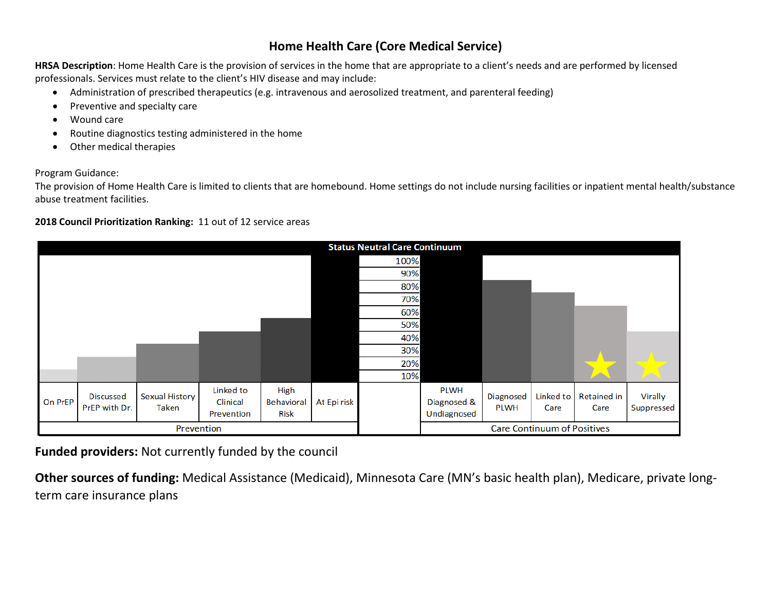# **Home Health Care (Core Medical Service)**

**HRSA Description**: Home Health Care is the provision of services in the home that are appropriate to a client's needs and are performed by licensed professionals. Services must relate to the client's HIV disease and may include:

- Administration of prescribed therapeutics (e.g. intravenous and aerosolized treatment, and parenteral feeding)
- Preventive and specialty care
- Wound care
- Routine diagnostics testing administered in the home
- Other medical therapies

#### Program Guidance:

The provision of Home Health Care is limited to clients that are homebound. Home settings do not include nursing facilities or inpatient mental health/substance abuse treatment facilities.

#### **2018 Council Prioritization Ranking:** 11 out of 12 service areas

|                |                                   |                                |                                     |                                   |             | <b>Status Neutral Care Continuum</b> |                                           |                          |                                    |                            |                       |
|----------------|-----------------------------------|--------------------------------|-------------------------------------|-----------------------------------|-------------|--------------------------------------|-------------------------------------------|--------------------------|------------------------------------|----------------------------|-----------------------|
|                |                                   |                                |                                     |                                   |             | 100%                                 |                                           |                          |                                    |                            |                       |
|                |                                   |                                |                                     |                                   |             | 90%                                  |                                           |                          |                                    |                            |                       |
|                |                                   |                                |                                     |                                   |             | 80%                                  |                                           |                          |                                    |                            |                       |
|                |                                   |                                |                                     |                                   |             | 70%                                  |                                           |                          |                                    |                            |                       |
|                |                                   |                                |                                     |                                   |             | 60%                                  |                                           |                          |                                    |                            |                       |
|                |                                   |                                |                                     |                                   |             | 50%                                  |                                           |                          |                                    |                            |                       |
|                |                                   |                                |                                     |                                   |             | 40%                                  |                                           |                          |                                    |                            |                       |
|                |                                   |                                |                                     |                                   |             | 30%                                  |                                           |                          |                                    |                            |                       |
|                |                                   |                                |                                     |                                   |             | 20%                                  |                                           |                          |                                    |                            |                       |
|                |                                   |                                |                                     |                                   |             | 10%                                  |                                           |                          |                                    | ⌒                          |                       |
| <b>On PrEP</b> | <b>Discussed</b><br>PrEP with Dr. | Sexual History<br><b>Taken</b> | Linked to<br>Clinical<br>Prevention | High<br>Behavioral<br><b>Risk</b> | At Epi risk |                                      | <b>PLWH</b><br>Diagnosed &<br>Undiagnosed | Diagnosed<br><b>PLWH</b> | Linked to<br>Care                  | <b>Retained in</b><br>Care | Virally<br>Suppressed |
|                | Prevention                        |                                |                                     |                                   |             |                                      |                                           |                          | <b>Care Continuum of Positives</b> |                            |                       |

**Funded providers:** Not currently funded by the council

**Other sources of funding:** Medical Assistance (Medicaid), Minnesota Care (MN's basic health plan), Medicare, private longterm care insurance plans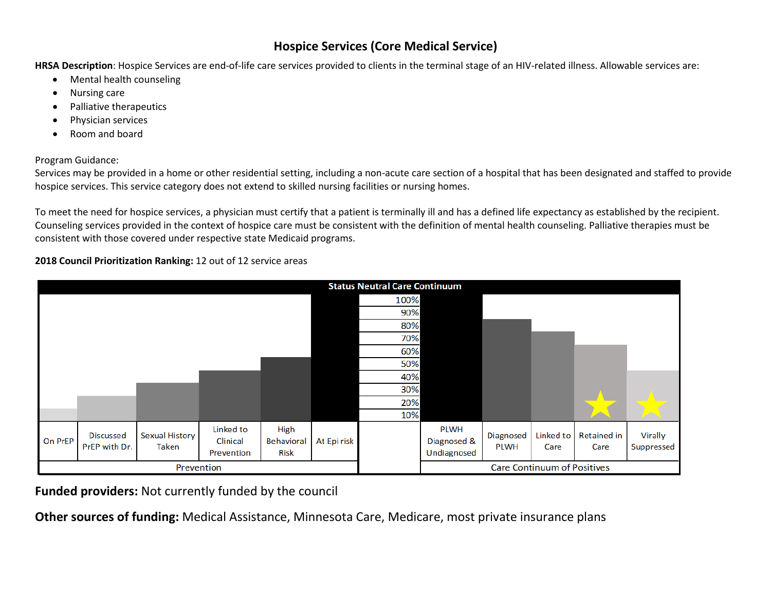## **Hospice Services (Core Medical Service)**

**HRSA Description**: Hospice Services are end-of-life care services provided to clients in the terminal stage of an HIV-related illness. Allowable services are:

- Mental health counseling
- Nursing care
- Palliative therapeutics
- Physician services
- Room and board

#### Program Guidance:

Services may be provided in a home or other residential setting, including a non-acute care section of a hospital that has been designated and staffed to provide hospice services. This service category does not extend to skilled nursing facilities or nursing homes.

To meet the need for hospice services, a physician must certify that a patient is terminally ill and has a defined life expectancy as established by the recipient. Counseling services provided in the context of hospice care must be consistent with the definition of mental health counseling. Palliative therapies must be consistent with those covered under respective state Medicaid programs.

### **2018 Council Prioritization Ranking:** 12 out of 12 service areas



**Funded providers:** Not currently funded by the council

**Other sources of funding:** Medical Assistance, Minnesota Care, Medicare, most private insurance plans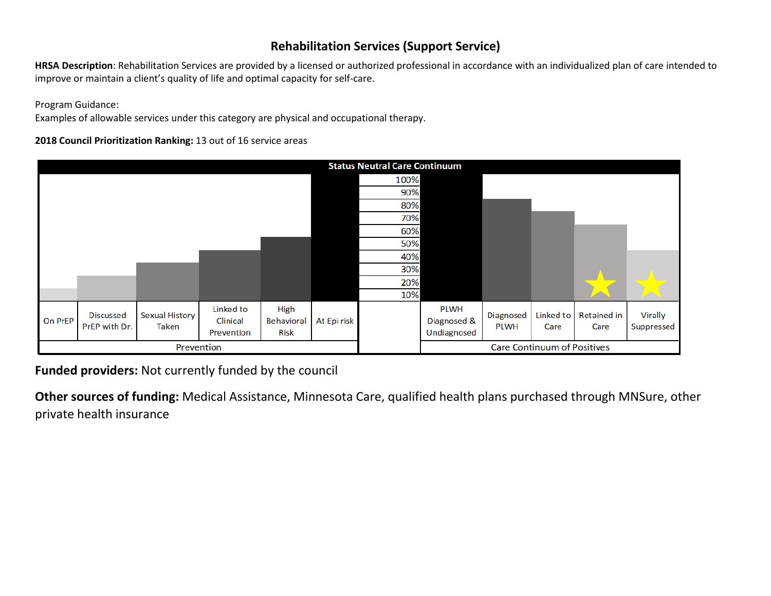## **Rehabilitation Services (Support Service)**

**HRSA Description**: Rehabilitation Services are provided by a licensed or authorized professional in accordance with an individualized plan of care intended to improve or maintain a client's quality of life and optimal capacity for self-care.

Program Guidance:

Examples of allowable services under this category are physical and occupational therapy.

**2018 Council Prioritization Ranking:** 13 out of 16 service areas

|         | <b>Status Neutral Care Continuum</b> |                                |                                     |                            |             |      |                                           |                          |                                    |                     |                       |
|---------|--------------------------------------|--------------------------------|-------------------------------------|----------------------------|-------------|------|-------------------------------------------|--------------------------|------------------------------------|---------------------|-----------------------|
|         |                                      |                                |                                     |                            |             | 100% |                                           |                          |                                    |                     |                       |
|         |                                      |                                |                                     |                            |             | 90%  |                                           |                          |                                    |                     |                       |
|         |                                      |                                |                                     |                            |             | 80%  |                                           |                          |                                    |                     |                       |
|         |                                      |                                |                                     |                            |             | 70%  |                                           |                          |                                    |                     |                       |
|         |                                      |                                |                                     |                            |             | 60%  |                                           |                          |                                    |                     |                       |
|         |                                      |                                |                                     |                            |             | 50%  |                                           |                          |                                    |                     |                       |
|         |                                      |                                |                                     |                            |             | 40%  |                                           |                          |                                    |                     |                       |
|         |                                      |                                |                                     |                            |             | 30%  |                                           |                          |                                    |                     |                       |
|         |                                      |                                |                                     |                            |             | 20%  |                                           |                          |                                    |                     |                       |
|         |                                      |                                |                                     |                            |             | 10%  |                                           |                          |                                    |                     |                       |
| On PrEP | <b>Discussed</b><br>PrEP with Dr.    | Sexual History<br><b>Taken</b> | Linked to<br>Clinical<br>Prevention | High<br>Behavioral<br>Risk | At Epi risk |      | <b>PLWH</b><br>Diagnosed &<br>Undiagnosed | Diagnosed<br><b>PLWH</b> | Linked to<br>Care                  | Retained in<br>Care | Virally<br>Suppressed |
|         | Prevention                           |                                |                                     |                            |             |      |                                           |                          | <b>Care Continuum of Positives</b> |                     |                       |

**Funded providers:** Not currently funded by the council

**Other sources of funding:** Medical Assistance, Minnesota Care, qualified health plans purchased through MNSure, other private health insurance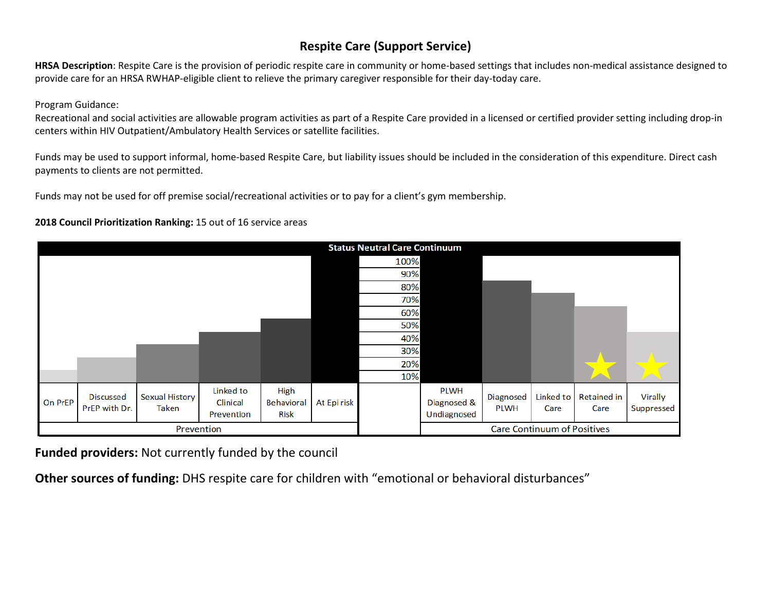# **Respite Care (Support Service)**

**HRSA Description**: Respite Care is the provision of periodic respite care in community or home-based settings that includes non-medical assistance designed to provide care for an HRSA RWHAP-eligible client to relieve the primary caregiver responsible for their day-today care.

Program Guidance:

Recreational and social activities are allowable program activities as part of a Respite Care provided in a licensed or certified provider setting including drop-in centers within HIV Outpatient/Ambulatory Health Services or satellite facilities.

Funds may be used to support informal, home-based Respite Care, but liability issues should be included in the consideration of this expenditure. Direct cash payments to clients are not permitted.

Funds may not be used for off premise social/recreational activities or to pay for a client's gym membership.

#### **2018 Council Prioritization Ranking:** 15 out of 16 service areas

|         |                                   |                                |                                     |                                   | <b>Status Neutral Care Continuum</b> |      |                                           |                          |                                    |                     |                       |
|---------|-----------------------------------|--------------------------------|-------------------------------------|-----------------------------------|--------------------------------------|------|-------------------------------------------|--------------------------|------------------------------------|---------------------|-----------------------|
|         |                                   |                                |                                     |                                   |                                      | 100% |                                           |                          |                                    |                     |                       |
|         |                                   |                                |                                     |                                   |                                      | 90%  |                                           |                          |                                    |                     |                       |
|         |                                   |                                |                                     |                                   |                                      | 80%  |                                           |                          |                                    |                     |                       |
|         |                                   |                                |                                     |                                   |                                      | 70%  |                                           |                          |                                    |                     |                       |
|         |                                   |                                |                                     |                                   |                                      | 60%  |                                           |                          |                                    |                     |                       |
|         |                                   |                                |                                     |                                   |                                      | 50%  |                                           |                          |                                    |                     |                       |
|         |                                   |                                |                                     |                                   |                                      | 40%  |                                           |                          |                                    |                     |                       |
|         |                                   |                                |                                     |                                   |                                      | 30%  |                                           |                          |                                    |                     |                       |
|         |                                   |                                |                                     |                                   |                                      | 20%  |                                           |                          |                                    |                     |                       |
|         |                                   |                                |                                     |                                   |                                      | 10%  |                                           |                          |                                    |                     |                       |
| On PrEP | <b>Discussed</b><br>PrEP with Dr. | <b>Sexual History</b><br>Taken | Linked to<br>Clinical<br>Prevention | High<br>Behavioral<br><b>Risk</b> | At Epi risk                          |      | <b>PLWH</b><br>Diagnosed &<br>Undiagnosed | Diagnosed<br><b>PLWH</b> | Linked to<br>Care                  | Retained in<br>Care | Virally<br>Suppressed |
|         | Prevention                        |                                |                                     |                                   |                                      |      |                                           |                          | <b>Care Continuum of Positives</b> |                     |                       |

**Funded providers:** Not currently funded by the council

**Other sources of funding:** DHS respite care for children with "emotional or behavioral disturbances"